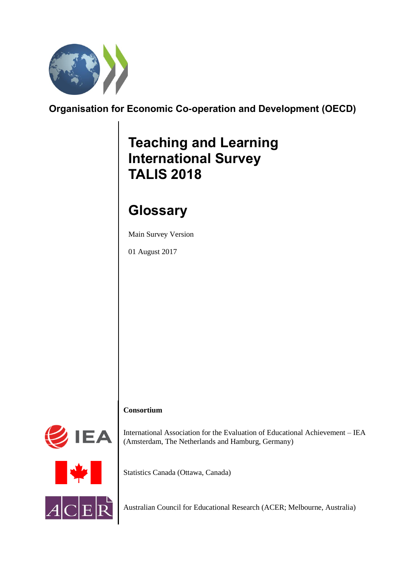

## **Organisation for Economic Co-operation and Development (OECD)**

# **Teaching and Learning International Survey TALIS 2018**

# **Glossary**

Main Survey Version

01 August 2017

### **Consortium**



International Association for the Evaluation of Educational Achievement – IEA (Amsterdam, The Netherlands and Hamburg, Germany)

Statistics Canada (Ottawa, Canada)

Australian Council for Educational Research (ACER; Melbourne, Australia)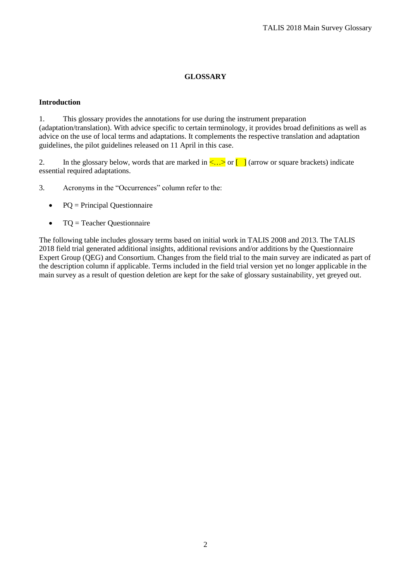### **GLOSSARY**

#### **Introduction**

1. This glossary provides the annotations for use during the instrument preparation (adaptation/translation). With advice specific to certain terminology, it provides broad definitions as well as advice on the use of local terms and adaptations. It complements the respective translation and adaptation guidelines, the pilot guidelines released on 11 April in this case.

2. In the glossary below, words that are marked in  $\leq \ldots$  or  $\Box$  (arrow or square brackets) indicate essential required adaptations.

3. Acronyms in the "Occurrences" column refer to the:

- $\bullet$  PQ = Principal Questionnaire
- $\bullet$  TQ = Teacher Questionnaire

The following table includes glossary terms based on initial work in TALIS 2008 and 2013. The TALIS 2018 field trial generated additional insights, additional revisions and/or additions by the Questionnaire Expert Group (QEG) and Consortium. Changes from the field trial to the main survey are indicated as part of the description column if applicable. Terms included in the field trial version yet no longer applicable in the main survey as a result of question deletion are kept for the sake of glossary sustainability, yet greyed out.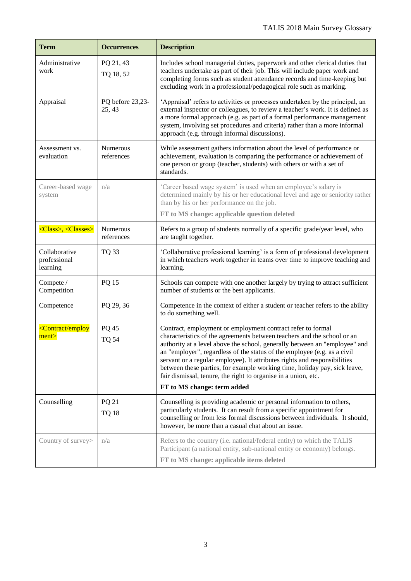| <b>Term</b>                               | <b>Occurrences</b>         | <b>Description</b>                                                                                                                                                                                                                                                                                                                                                                                                                                                                                                                                          |
|-------------------------------------------|----------------------------|-------------------------------------------------------------------------------------------------------------------------------------------------------------------------------------------------------------------------------------------------------------------------------------------------------------------------------------------------------------------------------------------------------------------------------------------------------------------------------------------------------------------------------------------------------------|
| Administrative<br>work                    | PQ 21, 43<br>TQ 18, 52     | Includes school managerial duties, paperwork and other clerical duties that<br>teachers undertake as part of their job. This will include paper work and<br>completing forms such as student attendance records and time-keeping but<br>excluding work in a professional/pedagogical role such as marking.                                                                                                                                                                                                                                                  |
| Appraisal                                 | PQ before 23,23-<br>25, 43 | 'Appraisal' refers to activities or processes undertaken by the principal, an<br>external inspector or colleagues, to review a teacher's work. It is defined as<br>a more formal approach (e.g. as part of a formal performance management<br>system, involving set procedures and criteria) rather than a more informal<br>approach (e.g. through informal discussions).                                                                                                                                                                                   |
| Assessment vs.<br>evaluation              | Numerous<br>references     | While assessment gathers information about the level of performance or<br>achievement, evaluation is comparing the performance or achievement of<br>one person or group (teacher, students) with others or with a set of<br>standards.                                                                                                                                                                                                                                                                                                                      |
| Career-based wage<br>system               | n/a                        | 'Career based wage system' is used when an employee's salary is<br>determined mainly by his or her educational level and age or seniority rather<br>than by his or her performance on the job.                                                                                                                                                                                                                                                                                                                                                              |
|                                           |                            | FT to MS change: applicable question deleted                                                                                                                                                                                                                                                                                                                                                                                                                                                                                                                |
| <class>, <classes></classes></class>      | Numerous<br>references     | Refers to a group of students normally of a specific grade/year level, who<br>are taught together.                                                                                                                                                                                                                                                                                                                                                                                                                                                          |
| Collaborative<br>professional<br>learning | TQ 33                      | 'Collaborative professional learning' is a form of professional development<br>in which teachers work together in teams over time to improve teaching and<br>learning.                                                                                                                                                                                                                                                                                                                                                                                      |
| Compete /<br>Competition                  | PQ 15                      | Schools can compete with one another largely by trying to attract sufficient<br>number of students or the best applicants.                                                                                                                                                                                                                                                                                                                                                                                                                                  |
| Competence                                | PQ 29, 36                  | Competence in the context of either a student or teacher refers to the ability<br>to do something well.                                                                                                                                                                                                                                                                                                                                                                                                                                                     |
| <contract employ<br="">ment</contract>    | PQ 45<br><b>TQ 54</b>      | Contract, employment or employment contract refer to formal<br>characteristics of the agreements between teachers and the school or an<br>authority at a level above the school, generally between an "employee" and<br>an "employer", regardless of the status of the employee (e.g. as a civil<br>servant or a regular employee). It attributes rights and responsibilities<br>between these parties, for example working time, holiday pay, sick leave,<br>fair dismissal, tenure, the right to organise in a union, etc.<br>FT to MS change: term added |
| Counselling                               | PQ 21                      | Counselling is providing academic or personal information to others,                                                                                                                                                                                                                                                                                                                                                                                                                                                                                        |
|                                           | <b>TQ 18</b>               | particularly students. It can result from a specific appointment for<br>counselling or from less formal discussions between individuals. It should,<br>however, be more than a casual chat about an issue.                                                                                                                                                                                                                                                                                                                                                  |
| Country of survey>                        | n/a                        | Refers to the country (i.e. national/federal entity) to which the TALIS<br>Participant (a national entity, sub-national entity or economy) belongs.<br>FT to MS change: applicable items deleted                                                                                                                                                                                                                                                                                                                                                            |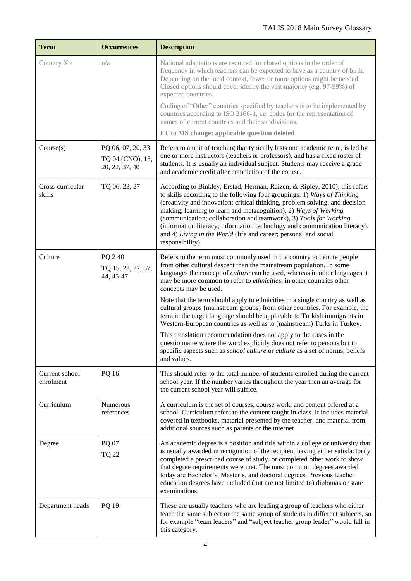| <b>Term</b>                 | <b>Occurrences</b>                                      | <b>Description</b>                                                                                                                                                                                                                                                                                                                                                                                                                                                                                                                                    |
|-----------------------------|---------------------------------------------------------|-------------------------------------------------------------------------------------------------------------------------------------------------------------------------------------------------------------------------------------------------------------------------------------------------------------------------------------------------------------------------------------------------------------------------------------------------------------------------------------------------------------------------------------------------------|
| Country X>                  | n/a                                                     | National adaptations are required for closed options in the order of<br>frequency in which teachers can be expected to have as a country of birth.<br>Depending on the local context, fewer or more options might be needed.<br>Closed options should cover ideally the vast majority (e.g. 97-99%) of<br>expected countries.                                                                                                                                                                                                                         |
|                             |                                                         | Coding of "Other" countries specified by teachers is to be implemented by<br>countries according to ISO 3166-1, i.e. codes for the representation of<br>names of current countries and their subdivisions.                                                                                                                                                                                                                                                                                                                                            |
|                             |                                                         | FT to MS change: applicable question deleted                                                                                                                                                                                                                                                                                                                                                                                                                                                                                                          |
| Course(s)                   | PQ 06, 07, 20, 33<br>TQ 04 (CNO), 15,<br>20, 22, 37, 40 | Refers to a unit of teaching that typically lasts one academic term, is led by<br>one or more instructors (teachers or professors), and has a fixed roster of<br>students. It is usually an individual subject. Students may receive a grade<br>and academic credit after completion of the course.                                                                                                                                                                                                                                                   |
| Cross-curricular<br>skills  | TQ 06, 23, 27                                           | According to Binkley, Erstad, Herman, Raizen, & Ripley, 2010), this refers<br>to skills according to the following four groupings: 1) Ways of Thinking<br>(creativity and innovation; critical thinking, problem solving, and decision<br>making; learning to learn and metacognition), 2) Ways of Working<br>(communication; collaboration and teamwork), 3) Tools for Working<br>(information literacy; information technology and communication literacy),<br>and 4) Living in the World (life and career; personal and social<br>responsibility). |
| Culture                     | PQ 240<br>TQ 15, 23, 27, 37,<br>44, 45-47               | Refers to the term most commonly used in the country to denote people<br>from other cultural descent than the mainstream population. In some<br>languages the concept of <i>culture</i> can be used, whereas in other languages it<br>may be more common to refer to ethnicities; in other countries other<br>concepts may be used.                                                                                                                                                                                                                   |
|                             |                                                         | Note that the term should apply to ethnicities in a single country as well as<br>cultural groups (mainstream groups) from other countries. For example, the<br>term in the target language should be applicable to Turkish immigrants in<br>Western-European countries as well as to (mainstream) Turks in Turkey.                                                                                                                                                                                                                                    |
|                             |                                                         | This translation recommendation does not apply to the cases in the<br>questionnaire where the word explicitly does not refer to persons but to<br>specific aspects such as <i>school culture</i> or <i>culture</i> as a set of norms, beliefs<br>and values.                                                                                                                                                                                                                                                                                          |
| Current school<br>enrolment | PQ 16                                                   | This should refer to the total number of students enrolled during the current<br>school year. If the number varies throughout the year then an average for<br>the current school year will suffice.                                                                                                                                                                                                                                                                                                                                                   |
| Curriculum                  | Numerous<br>references                                  | A curriculum is the set of courses, course work, and content offered at a<br>school. Curriculum refers to the content taught in class. It includes material<br>covered in textbooks, material presented by the teacher, and material from<br>additional sources such as parents or the internet.                                                                                                                                                                                                                                                      |
| Degree                      | PQ 07                                                   | An academic degree is a position and title within a college or university that                                                                                                                                                                                                                                                                                                                                                                                                                                                                        |
|                             | <b>TQ 22</b>                                            | is usually awarded in recognition of the recipient having either satisfactorily<br>completed a prescribed course of study, or completed other work to show<br>that degree requirements were met. The most common degrees awarded<br>today are Bachelor's, Master's, and doctoral degrees. Previous teacher<br>education degrees have included (but are not limited to) diplomas or state<br>examinations.                                                                                                                                             |
| Department heads            | PQ 19                                                   | These are usually teachers who are leading a group of teachers who either<br>teach the same subject or the same group of students in different subjects, so<br>for example "team leaders" and "subject teacher group leader" would fall in<br>this category.                                                                                                                                                                                                                                                                                          |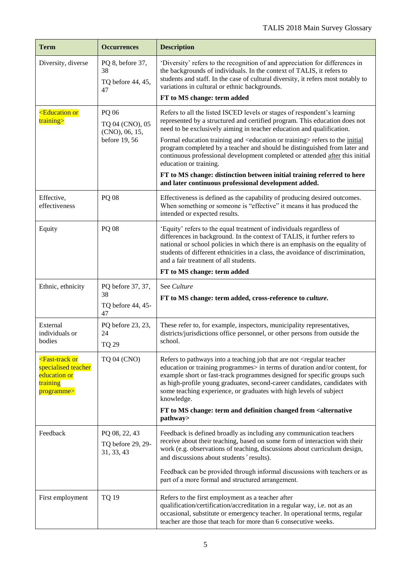| <b>Term</b>                                                                                           | <b>Occurrences</b>                                          | <b>Description</b>                                                                                                                                                                                                                                                                                                                                                                                                                                                                                                                                                                                                                                             |
|-------------------------------------------------------------------------------------------------------|-------------------------------------------------------------|----------------------------------------------------------------------------------------------------------------------------------------------------------------------------------------------------------------------------------------------------------------------------------------------------------------------------------------------------------------------------------------------------------------------------------------------------------------------------------------------------------------------------------------------------------------------------------------------------------------------------------------------------------------|
| Diversity, diverse                                                                                    | PQ 8, before 37,<br>38<br>TQ before 44, 45,<br>47           | 'Diversity' refers to the recognition of and appreciation for differences in<br>the backgrounds of individuals. In the context of TALIS, it refers to<br>students and staff. In the case of cultural diversity, it refers most notably to<br>variations in cultural or ethnic backgrounds.<br>FT to MS change: term added                                                                                                                                                                                                                                                                                                                                      |
| <b>Education or</b><br>training>                                                                      | PQ 06<br>TQ 04 (CNO), 05<br>(CNO), 06, 15,<br>before 19, 56 | Refers to all the listed ISCED levels or stages of respondent's learning<br>represented by a structured and certified program. This education does not<br>need to be exclusively aiming in teacher education and qualification.<br>Formal education training and <education or="" training=""> refers to the initial<br/>program completed by a teacher and should be distinguished from later and<br/>continuous professional development completed or attended after this initial<br/>education or training.<br/>FT to MS change: distinction between initial training referred to here<br/>and later continuous professional development added.</education> |
| Effective,<br>effectiveness                                                                           | <b>PQ 08</b>                                                | Effectiveness is defined as the capability of producing desired outcomes.<br>When something or someone is "effective" it means it has produced the<br>intended or expected results.                                                                                                                                                                                                                                                                                                                                                                                                                                                                            |
| Equity                                                                                                | PQ 08                                                       | 'Equity' refers to the equal treatment of individuals regardless of<br>differences in background. In the context of TALIS, it further refers to<br>national or school policies in which there is an emphasis on the equality of<br>students of different ethnicities in a class, the avoidance of discrimination,<br>and a fair treatment of all students.<br>FT to MS change: term added                                                                                                                                                                                                                                                                      |
| Ethnic, ethnicity                                                                                     | PQ before 37, 37,<br>38<br>TQ before 44, 45-<br>47          | See Culture<br>FT to MS change: term added, cross-reference to culture.                                                                                                                                                                                                                                                                                                                                                                                                                                                                                                                                                                                        |
| External<br>individuals or<br>bodies                                                                  | PQ before 23, 23,<br>24<br><b>TQ 29</b>                     | These refer to, for example, inspectors, municipality representatives,<br>districts/jurisdictions office personnel, or other persons from outside the<br>school.                                                                                                                                                                                                                                                                                                                                                                                                                                                                                               |
| <fast-track or<br="">specialised teacher<br/>education or<br/>training<br/>programme&gt;</fast-track> | <b>TQ 04 (CNO)</b>                                          | Refers to pathways into a teaching job that are not <regular teacher<br="">education or training programmes&gt; in terms of duration and/or content, for<br/>example short or fast-track programmes designed for specific groups such<br/>as high-profile young graduates, second-career candidates, candidates with<br/>some teaching experience, or graduates with high levels of subject<br/>knowledge.<br/>FT to MS change: term and definition changed from <alternative<br>pathway&gt;</alternative<br></regular>                                                                                                                                        |
| Feedback                                                                                              | PQ 08, 22, 43<br>TQ before 29, 29-<br>31, 33, 43            | Feedback is defined broadly as including any communication teachers<br>receive about their teaching, based on some form of interaction with their<br>work (e.g. observations of teaching, discussions about curriculum design,<br>and discussions about students' results).<br>Feedback can be provided through informal discussions with teachers or as<br>part of a more formal and structured arrangement.                                                                                                                                                                                                                                                  |
| First employment                                                                                      | <b>TQ 19</b>                                                | Refers to the first employment as a teacher after<br>qualification/certification/accreditation in a regular way, i.e. not as an<br>occasional, substitute or emergency teacher. In operational terms, regular<br>teacher are those that teach for more than 6 consecutive weeks.                                                                                                                                                                                                                                                                                                                                                                               |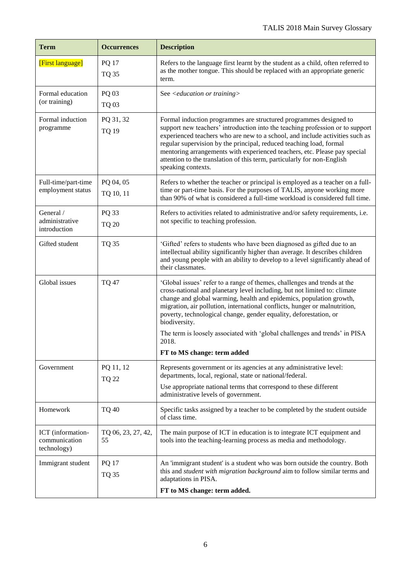| <b>Term</b>                                       | <b>Occurrences</b>           | <b>Description</b>                                                                                                                                                                                                                                                                                                                                                                                                                                                                                                     |
|---------------------------------------------------|------------------------------|------------------------------------------------------------------------------------------------------------------------------------------------------------------------------------------------------------------------------------------------------------------------------------------------------------------------------------------------------------------------------------------------------------------------------------------------------------------------------------------------------------------------|
| [First language]                                  | <b>PQ 17</b><br><b>TQ 35</b> | Refers to the language first learnt by the student as a child, often referred to<br>as the mother tongue. This should be replaced with an appropriate generic<br>term.                                                                                                                                                                                                                                                                                                                                                 |
| Formal education<br>(or training)                 | PQ 03<br><b>TQ 03</b>        | See <education or="" training=""></education>                                                                                                                                                                                                                                                                                                                                                                                                                                                                          |
| Formal induction<br>programme                     | PQ 31, 32<br><b>TQ 19</b>    | Formal induction programmes are structured programmes designed to<br>support new teachers' introduction into the teaching profession or to support<br>experienced teachers who are new to a school, and include activities such as<br>regular supervision by the principal, reduced teaching load, formal<br>mentoring arrangements with experienced teachers, etc. Please pay special<br>attention to the translation of this term, particularly for non-English<br>speaking contexts.                                |
| Full-time/part-time<br>employment status          | PQ 04, 05<br>TQ 10, 11       | Refers to whether the teacher or principal is employed as a teacher on a full-<br>time or part-time basis. For the purposes of TALIS, anyone working more<br>than 90% of what is considered a full-time workload is considered full time.                                                                                                                                                                                                                                                                              |
| General /<br>administrative<br>introduction       | PQ 33<br><b>TQ 20</b>        | Refers to activities related to administrative and/or safety requirements, i.e.<br>not specific to teaching profession.                                                                                                                                                                                                                                                                                                                                                                                                |
| Gifted student                                    | <b>TQ 35</b>                 | 'Gifted' refers to students who have been diagnosed as gifted due to an<br>intellectual ability significantly higher than average. It describes children<br>and young people with an ability to develop to a level significantly ahead of<br>their classmates.                                                                                                                                                                                                                                                         |
| Global issues                                     | <b>TQ 47</b>                 | 'Global issues' refer to a range of themes, challenges and trends at the<br>cross-national and planetary level including, but not limited to: climate<br>change and global warming, health and epidemics, population growth,<br>migration, air pollution, international conflicts, hunger or malnutrition,<br>poverty, technological change, gender equality, deforestation, or<br>biodiversity.<br>The term is loosely associated with 'global challenges and trends' in PISA<br>2018.<br>FT to MS change: term added |
| Government                                        | PQ 11, 12                    | Represents government or its agencies at any administrative level:<br>departments, local, regional, state or national/federal.                                                                                                                                                                                                                                                                                                                                                                                         |
|                                                   | <b>TQ 22</b>                 | Use appropriate national terms that correspond to these different<br>administrative levels of government.                                                                                                                                                                                                                                                                                                                                                                                                              |
| Homework                                          | <b>TQ 40</b>                 | Specific tasks assigned by a teacher to be completed by the student outside<br>of class time.                                                                                                                                                                                                                                                                                                                                                                                                                          |
| ICT (information-<br>communication<br>technology) | TQ 06, 23, 27, 42,<br>55     | The main purpose of ICT in education is to integrate ICT equipment and<br>tools into the teaching-learning process as media and methodology.                                                                                                                                                                                                                                                                                                                                                                           |
| Immigrant student                                 | <b>PQ 17</b><br><b>TQ 35</b> | An 'immigrant student' is a student who was born outside the country. Both<br>this and student with migration background aim to follow similar terms and<br>adaptations in PISA.                                                                                                                                                                                                                                                                                                                                       |
|                                                   |                              | FT to MS change: term added.                                                                                                                                                                                                                                                                                                                                                                                                                                                                                           |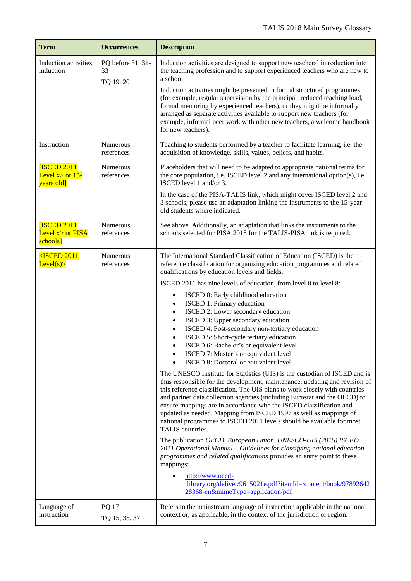| <b>Term</b>                                           | <b>Occurrences</b>                   | <b>Description</b>                                                                                                                                                                                                                                                                                                                                                                                                                                                                                                                                                                                                                                                                                                                                                                                                                                                                                                                                                                                                                                                                                                                                                                                                                                                                                                                                                                                                                                                                                                                                                                                                                                                             |
|-------------------------------------------------------|--------------------------------------|--------------------------------------------------------------------------------------------------------------------------------------------------------------------------------------------------------------------------------------------------------------------------------------------------------------------------------------------------------------------------------------------------------------------------------------------------------------------------------------------------------------------------------------------------------------------------------------------------------------------------------------------------------------------------------------------------------------------------------------------------------------------------------------------------------------------------------------------------------------------------------------------------------------------------------------------------------------------------------------------------------------------------------------------------------------------------------------------------------------------------------------------------------------------------------------------------------------------------------------------------------------------------------------------------------------------------------------------------------------------------------------------------------------------------------------------------------------------------------------------------------------------------------------------------------------------------------------------------------------------------------------------------------------------------------|
| Induction activities,<br>induction                    | PQ before 31, 31-<br>33<br>TQ 19, 20 | Induction activities are designed to support new teachers' introduction into<br>the teaching profession and to support experienced teachers who are new to<br>a school.<br>Induction activities might be presented in formal structured programmes<br>(for example, regular supervision by the principal, reduced teaching load,<br>formal mentoring by experienced teachers), or they might be informally<br>arranged as separate activities available to support new teachers (for<br>example, informal peer work with other new teachers, a welcome handbook<br>for new teachers).                                                                                                                                                                                                                                                                                                                                                                                                                                                                                                                                                                                                                                                                                                                                                                                                                                                                                                                                                                                                                                                                                          |
| Instruction                                           | Numerous<br>references               | Teaching to students performed by a teacher to facilitate learning, i.e. the<br>acquisition of knowledge, skills, values, beliefs, and habits.                                                                                                                                                                                                                                                                                                                                                                                                                                                                                                                                                                                                                                                                                                                                                                                                                                                                                                                                                                                                                                                                                                                                                                                                                                                                                                                                                                                                                                                                                                                                 |
| <b>ISCED 2011</b><br>Level $x >$ or 15-<br>years old] | Numerous<br>references               | Placeholders that will need to be adapted to appropriate national terms for<br>the core population, i.e. ISCED level 2 and any international option(s), i.e.<br>ISCED level 1 and/or 3.<br>In the case of the PISA-TALIS link, which might cover ISCED level 2 and<br>3 schools, please use an adaptation linking the instruments to the 15-year<br>old students where indicated.                                                                                                                                                                                                                                                                                                                                                                                                                                                                                                                                                                                                                                                                                                                                                                                                                                                                                                                                                                                                                                                                                                                                                                                                                                                                                              |
| <b>ISCED 2011</b><br>Level $x>$ or PISA<br>schools]   | Numerous<br>references               | See above. Additionally, an adaptation that links the instruments to the<br>schools selected for PISA 2018 for the TALIS-PISA link is required.                                                                                                                                                                                                                                                                                                                                                                                                                                                                                                                                                                                                                                                                                                                                                                                                                                                                                                                                                                                                                                                                                                                                                                                                                                                                                                                                                                                                                                                                                                                                |
| $<$ ISCED 2011<br>Level(s)                            | <b>Numerous</b><br>references        | The International Standard Classification of Education (ISCED) is the<br>reference classification for organizing education programmes and related<br>qualifications by education levels and fields.<br>ISCED 2011 has nine levels of education, from level 0 to level 8:<br>ISCED 0: Early childhood education<br>$\bullet$<br>ISCED 1: Primary education<br>$\bullet$<br>ISCED 2: Lower secondary education<br>$\bullet$<br>ISCED 3: Upper secondary education<br>$\bullet$<br>ISCED 4: Post-secondary non-tertiary education<br>$\bullet$<br>ISCED 5: Short-cycle tertiary education<br>$\bullet$<br>ISCED 6: Bachelor's or equivalent level<br>$\bullet$<br>ISCED 7: Master's or equivalent level<br>ISCED 8: Doctoral or equivalent level<br>The UNESCO Institute for Statistics (UIS) is the custodian of ISCED and is<br>thus responsible for the development, maintenance, updating and revision of<br>this reference classification. The UIS plans to work closely with countries<br>and partner data collection agencies (including Eurostat and the OECD) to<br>ensure mappings are in accordance with the ISCED classification and<br>updated as needed. Mapping from ISCED 1997 as well as mappings of<br>national programmes to ISCED 2011 levels should be available for most<br>TALIS countries.<br>The publication OECD, European Union, UNESCO-UIS (2015) ISCED<br>2011 Operational Manual – Guidelines for classifying national education<br>programmes and related qualifications provides an entry point to these<br>mappings:<br>http://www.oecd-<br>ilibrary.org/deliver/9615021e.pdf?itemId=/content/book/97892642<br>28368-en&mimeType=application/pdf |
| Language of<br>instruction                            | <b>PQ 17</b><br>TQ 15, 35, 37        | Refers to the mainstream language of instruction applicable in the national<br>context or, as applicable, in the context of the jurisdiction or region.                                                                                                                                                                                                                                                                                                                                                                                                                                                                                                                                                                                                                                                                                                                                                                                                                                                                                                                                                                                                                                                                                                                                                                                                                                                                                                                                                                                                                                                                                                                        |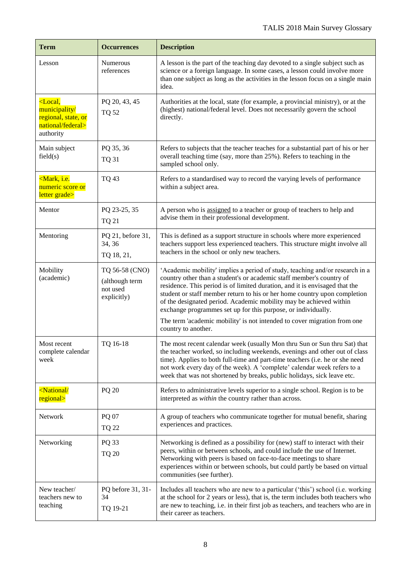| <b>Term</b>                                                                                 | <b>Occurrences</b>                                          | <b>Description</b>                                                                                                                                                                                                                                                                                                                                                                                                                                                                                                                                         |
|---------------------------------------------------------------------------------------------|-------------------------------------------------------------|------------------------------------------------------------------------------------------------------------------------------------------------------------------------------------------------------------------------------------------------------------------------------------------------------------------------------------------------------------------------------------------------------------------------------------------------------------------------------------------------------------------------------------------------------------|
| Lesson                                                                                      | Numerous<br>references                                      | A lesson is the part of the teaching day devoted to a single subject such as<br>science or a foreign language. In some cases, a lesson could involve more<br>than one subject as long as the activities in the lesson focus on a single main<br>idea.                                                                                                                                                                                                                                                                                                      |
| $\epsilon$ Local,<br>municipality/<br>regional, state, or<br>national/federal><br>authority | PQ 20, 43, 45<br><b>TQ 52</b>                               | Authorities at the local, state (for example, a provincial ministry), or at the<br>(highest) national/federal level. Does not necessarily govern the school<br>directly.                                                                                                                                                                                                                                                                                                                                                                                   |
| Main subject<br>field(s)                                                                    | PQ 35, 36<br><b>TQ 31</b>                                   | Refers to subjects that the teacher teaches for a substantial part of his or her<br>overall teaching time (say, more than 25%). Refers to teaching in the<br>sampled school only.                                                                                                                                                                                                                                                                                                                                                                          |
| <mark, i.e.<br="">numeric score or<br/>letter grade&gt;</mark,>                             | <b>TQ 43</b>                                                | Refers to a standardised way to record the varying levels of performance<br>within a subject area.                                                                                                                                                                                                                                                                                                                                                                                                                                                         |
| Mentor                                                                                      | PQ 23-25, 35<br><b>TQ 21</b>                                | A person who is assigned to a teacher or group of teachers to help and<br>advise them in their professional development.                                                                                                                                                                                                                                                                                                                                                                                                                                   |
| Mentoring                                                                                   | PQ 21, before 31,<br>34, 36<br>TQ 18, 21,                   | This is defined as a support structure in schools where more experienced<br>teachers support less experienced teachers. This structure might involve all<br>teachers in the school or only new teachers.                                                                                                                                                                                                                                                                                                                                                   |
| Mobility<br>(academic)                                                                      | TQ 56-58 (CNO)<br>(although term<br>not used<br>explicitly) | 'Academic mobility' implies a period of study, teaching and/or research in a<br>country other than a student's or academic staff member's country of<br>residence. This period is of limited duration, and it is envisaged that the<br>student or staff member return to his or her home country upon completion<br>of the designated period. Academic mobility may be achieved within<br>exchange programmes set up for this purpose, or individually.<br>The term 'academic mobility' is not intended to cover migration from one<br>country to another. |
| Most recent<br>complete calendar<br>week                                                    | TQ 16-18                                                    | The most recent calendar week (usually Mon thru Sun or Sun thru Sat) that<br>the teacher worked, so including weekends, evenings and other out of class<br>time). Applies to both full-time and part-time teachers (i.e. he or she need<br>not work every day of the week). A 'complete' calendar week refers to a<br>week that was not shortened by breaks, public holidays, sick leave etc.                                                                                                                                                              |
| <national <br="">regional&gt;</national>                                                    | PQ 20                                                       | Refers to administrative levels superior to a single school. Region is to be<br>interpreted as within the country rather than across.                                                                                                                                                                                                                                                                                                                                                                                                                      |
| Network                                                                                     | PQ 07<br><b>TQ 22</b>                                       | A group of teachers who communicate together for mutual benefit, sharing<br>experiences and practices.                                                                                                                                                                                                                                                                                                                                                                                                                                                     |
| Networking                                                                                  | PQ 33<br><b>TQ 20</b>                                       | Networking is defined as a possibility for (new) staff to interact with their<br>peers, within or between schools, and could include the use of Internet.<br>Networking with peers is based on face-to-face meetings to share<br>experiences within or between schools, but could partly be based on virtual<br>communities (see further).                                                                                                                                                                                                                 |
| New teacher/<br>teachers new to<br>teaching                                                 | PQ before 31, 31-<br>34<br>TQ 19-21                         | Includes all teachers who are new to a particular ('this') school (i.e. working<br>at the school for 2 years or less), that is, the term includes both teachers who<br>are new to teaching, i.e. in their first job as teachers, and teachers who are in<br>their career as teachers.                                                                                                                                                                                                                                                                      |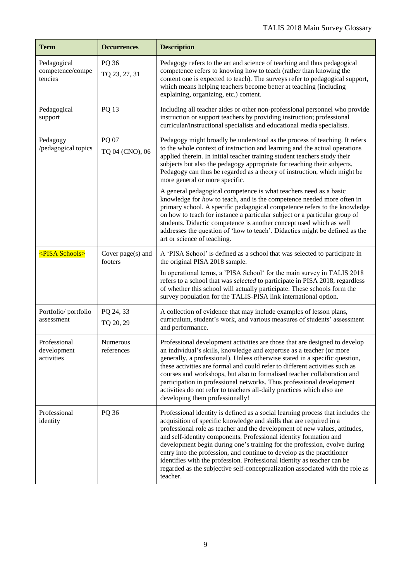| <b>Term</b>                                | <b>Occurrences</b>             | <b>Description</b>                                                                                                                                                                                                                                                                                                                                                                                                                                                                                                                                                                                                                       |
|--------------------------------------------|--------------------------------|------------------------------------------------------------------------------------------------------------------------------------------------------------------------------------------------------------------------------------------------------------------------------------------------------------------------------------------------------------------------------------------------------------------------------------------------------------------------------------------------------------------------------------------------------------------------------------------------------------------------------------------|
| Pedagogical<br>competence/compe<br>tencies | PQ 36<br>TQ 23, 27, 31         | Pedagogy refers to the art and science of teaching and thus pedagogical<br>competence refers to knowing how to teach (rather than knowing the<br>content one is expected to teach). The surveys refer to pedagogical support,<br>which means helping teachers become better at teaching (including<br>explaining, organizing, etc.) content.                                                                                                                                                                                                                                                                                             |
| Pedagogical<br>support                     | PQ 13                          | Including all teacher aides or other non-professional personnel who provide<br>instruction or support teachers by providing instruction; professional<br>curricular/instructional specialists and educational media specialists.                                                                                                                                                                                                                                                                                                                                                                                                         |
| Pedagogy<br>/pedagogical topics            | PQ 07<br>TQ 04 (CNO), 06       | Pedagogy might broadly be understood as the process of teaching. It refers<br>to the whole context of instruction and learning and the actual operations<br>applied therein. In initial teacher training student teachers study their<br>subjects but also the pedagogy appropriate for teaching their subjects.<br>Pedagogy can thus be regarded as a theory of instruction, which might be<br>more general or more specific.                                                                                                                                                                                                           |
|                                            |                                | A general pedagogical competence is what teachers need as a basic<br>knowledge for how to teach, and is the competence needed more often in<br>primary school. A specific pedagogical competence refers to the knowledge<br>on how to teach for instance a particular subject or a particular group of<br>students. Didactic competence is another concept used which as well<br>addresses the question of 'how to teach'. Didactics might be defined as the<br>art or science of teaching.                                                                                                                                              |
| <pisa schools=""></pisa>                   | Cover $page(s)$ and<br>footers | A 'PISA School' is defined as a school that was selected to participate in<br>the original PISA 2018 sample.                                                                                                                                                                                                                                                                                                                                                                                                                                                                                                                             |
|                                            |                                | In operational terms, a 'PISA School' for the main survey in TALIS 2018<br>refers to a school that was selected to participate in PISA 2018, regardless<br>of whether this school will actually participate. These schools form the<br>survey population for the TALIS-PISA link international option.                                                                                                                                                                                                                                                                                                                                   |
| Portfolio/portfolio<br>assessment          | PQ 24, 33<br>TQ 20, 29         | A collection of evidence that may include examples of lesson plans,<br>curriculum, student's work, and various measures of students' assessment<br>and performance.                                                                                                                                                                                                                                                                                                                                                                                                                                                                      |
| Professional<br>development<br>activities  | <b>Numerous</b><br>references  | Professional development activities are those that are designed to develop<br>an individual's skills, knowledge and expertise as a teacher (or more<br>generally, a professional). Unless otherwise stated in a specific question,<br>these activities are formal and could refer to different activities such as<br>courses and workshops, but also to formalised teacher collaboration and<br>participation in professional networks. Thus professional development<br>activities do not refer to teachers all-daily practices which also are<br>developing them professionally!                                                       |
| Professional<br>identity                   | PQ 36                          | Professional identity is defined as a social learning process that includes the<br>acquisition of specific knowledge and skills that are required in a<br>professional role as teacher and the development of new values, attitudes,<br>and self-identity components. Professional identity formation and<br>development begin during one's training for the profession, evolve during<br>entry into the profession, and continue to develop as the practitioner<br>identifies with the profession. Professional identity as teacher can be<br>regarded as the subjective self-conceptualization associated with the role as<br>teacher. |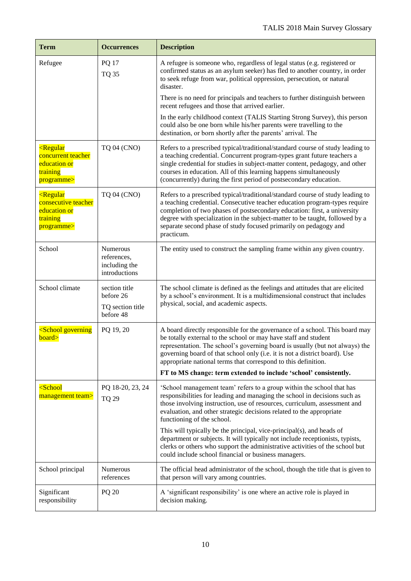| <b>Term</b>                                                                                  | <b>Occurrences</b>                                          | <b>Description</b>                                                                                                                                                                                                                                                                                                                                                                                         |
|----------------------------------------------------------------------------------------------|-------------------------------------------------------------|------------------------------------------------------------------------------------------------------------------------------------------------------------------------------------------------------------------------------------------------------------------------------------------------------------------------------------------------------------------------------------------------------------|
| Refugee                                                                                      | <b>PQ 17</b><br><b>TQ 35</b>                                | A refugee is someone who, regardless of legal status (e.g. registered or<br>confirmed status as an asylum seeker) has fled to another country, in order<br>to seek refuge from war, political oppression, persecution, or natural<br>disaster.                                                                                                                                                             |
|                                                                                              |                                                             | There is no need for principals and teachers to further distinguish between<br>recent refugees and those that arrived earlier.                                                                                                                                                                                                                                                                             |
|                                                                                              |                                                             | In the early childhood context (TALIS Starting Strong Survey), this person<br>could also be one born while his/her parents were travelling to the<br>destination, or born shortly after the parents' arrival. The                                                                                                                                                                                          |
| <regular<br>concurrent teacher<br/>education or<br/>training<br/>programme&gt;</regular<br>  | <b>TQ 04 (CNO)</b>                                          | Refers to a prescribed typical/traditional/standard course of study leading to<br>a teaching credential. Concurrent program-types grant future teachers a<br>single credential for studies in subject-matter content, pedagogy, and other<br>courses in education. All of this learning happens simultaneously<br>(concurrently) during the first period of postsecondary education.                       |
| <regular<br>consecutive teacher<br/>education or<br/>training<br/>programme&gt;</regular<br> | <b>TQ 04 (CNO)</b>                                          | Refers to a prescribed typical/traditional/standard course of study leading to<br>a teaching credential. Consecutive teacher education program-types require<br>completion of two phases of postsecondary education: first, a university<br>degree with specialization in the subject-matter to be taught, followed by a<br>separate second phase of study focused primarily on pedagogy and<br>practicum. |
| School                                                                                       | Numerous<br>references,<br>including the<br>introductions   | The entity used to construct the sampling frame within any given country.                                                                                                                                                                                                                                                                                                                                  |
| School climate                                                                               | section title<br>before 26<br>TQ section title<br>before 48 | The school climate is defined as the feelings and attitudes that are elicited<br>by a school's environment. It is a multidimensional construct that includes<br>physical, social, and academic aspects.                                                                                                                                                                                                    |
| <school governing<br="">board&gt;</school>                                                   | PQ 19, 20                                                   | A board directly responsible for the governance of a school. This board may<br>be totally external to the school or may have staff and student<br>representation. The school's governing board is usually (but not always) the<br>governing board of that school only (i.e. it is not a district board). Use<br>appropriate national terms that correspond to this definition.                             |
|                                                                                              |                                                             | FT to MS change: term extended to include 'school' consistently.                                                                                                                                                                                                                                                                                                                                           |
| $\leq$ School<br>management team>                                                            | PQ 18-20, 23, 24<br><b>TQ 29</b>                            | 'School management team' refers to a group within the school that has<br>responsibilities for leading and managing the school in decisions such as<br>those involving instruction, use of resources, curriculum, assessment and<br>evaluation, and other strategic decisions related to the appropriate<br>functioning of the school.                                                                      |
|                                                                                              |                                                             | This will typically be the principal, vice-principal(s), and heads of<br>department or subjects. It will typically not include receptionists, typists,<br>clerks or others who support the administrative activities of the school but<br>could include school financial or business managers.                                                                                                             |
| School principal                                                                             | Numerous<br>references                                      | The official head administrator of the school, though the title that is given to<br>that person will vary among countries.                                                                                                                                                                                                                                                                                 |
| Significant<br>responsibility                                                                | <b>PQ 20</b>                                                | A 'significant responsibility' is one where an active role is played in<br>decision making.                                                                                                                                                                                                                                                                                                                |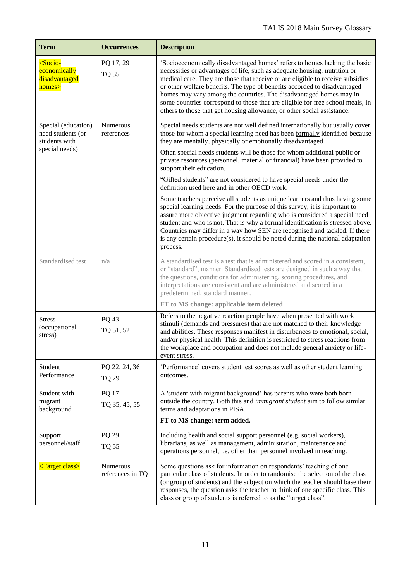| <b>Term</b>                                                                 | <b>Occurrences</b>            | <b>Description</b>                                                                                                                                                                                                                                                                                                                                                                                                                                                                                                                                       |
|-----------------------------------------------------------------------------|-------------------------------|----------------------------------------------------------------------------------------------------------------------------------------------------------------------------------------------------------------------------------------------------------------------------------------------------------------------------------------------------------------------------------------------------------------------------------------------------------------------------------------------------------------------------------------------------------|
| <socio-<br>economically<br/>disadvantaged<br/>homes&gt;</socio-<br>         | PQ 17, 29<br><b>TQ 35</b>     | 'Socioeconomically disadvantaged homes' refers to homes lacking the basic<br>necessities or advantages of life, such as adequate housing, nutrition or<br>medical care. They are those that receive or are eligible to receive subsidies<br>or other welfare benefits. The type of benefits accorded to disadvantaged<br>homes may vary among the countries. The disadvantaged homes may in<br>some countries correspond to those that are eligible for free school meals, in<br>others to those that get housing allowance, or other social assistance. |
| Special (education)<br>need students (or<br>students with<br>special needs) | Numerous<br>references        | Special needs students are not well defined internationally but usually cover<br>those for whom a special learning need has been formally identified because<br>they are mentally, physically or emotionally disadvantaged.<br>Often special needs students will be those for whom additional public or<br>private resources (personnel, material or financial) have been provided to<br>support their education.                                                                                                                                        |
|                                                                             |                               | "Gifted students" are not considered to have special needs under the<br>definition used here and in other OECD work.                                                                                                                                                                                                                                                                                                                                                                                                                                     |
|                                                                             |                               | Some teachers perceive all students as unique learners and thus having some<br>special learning needs. For the purpose of this survey, it is important to<br>assure more objective judgment regarding who is considered a special need<br>student and who is not. That is why a formal identification is stressed above.<br>Countries may differ in a way how SEN are recognised and tackled. If there<br>is any certain procedure(s), it should be noted during the national adaptation<br>process.                                                     |
| Standardised test                                                           | n/a                           | A standardised test is a test that is administered and scored in a consistent,<br>or "standard", manner. Standardised tests are designed in such a way that<br>the questions, conditions for administering, scoring procedures, and<br>interpretations are consistent and are administered and scored in a<br>predetermined, standard manner.                                                                                                                                                                                                            |
|                                                                             |                               | FT to MS change: applicable item deleted                                                                                                                                                                                                                                                                                                                                                                                                                                                                                                                 |
| <b>Stress</b><br>(occupational<br>stress)                                   | PQ 43<br>TQ 51, 52            | Refers to the negative reaction people have when presented with work<br>stimuli (demands and pressures) that are not matched to their knowledge<br>and abilities. These responses manifest in disturbances to emotional, social,<br>and/or physical health. This definition is restricted to stress reactions from<br>the workplace and occupation and does not include general anxiety or life-<br>event stress.                                                                                                                                        |
| Student<br>Performance                                                      | PQ 22, 24, 36<br><b>TQ 29</b> | 'Performance' covers student test scores as well as other student learning<br>outcomes.                                                                                                                                                                                                                                                                                                                                                                                                                                                                  |
| Student with<br>migrant<br>background                                       | <b>PQ 17</b><br>TQ 35, 45, 55 | A 'student with migrant background' has parents who were both born<br>outside the country. Both this and <i>immigrant student</i> aim to follow similar<br>terms and adaptations in PISA.                                                                                                                                                                                                                                                                                                                                                                |
|                                                                             |                               | FT to MS change: term added.                                                                                                                                                                                                                                                                                                                                                                                                                                                                                                                             |
| Support<br>personnel/staff                                                  | PQ 29<br><b>TQ 55</b>         | Including health and social support personnel (e.g. social workers),<br>librarians, as well as management, administration, maintenance and<br>operations personnel, i.e. other than personnel involved in teaching.                                                                                                                                                                                                                                                                                                                                      |
| <target class=""></target>                                                  | Numerous<br>references in TQ  | Some questions ask for information on respondents' teaching of one<br>particular class of students. In order to randomise the selection of the class<br>(or group of students) and the subject on which the teacher should base their<br>responses, the question asks the teacher to think of one specific class. This<br>class or group of students is referred to as the "target class".                                                                                                                                                               |